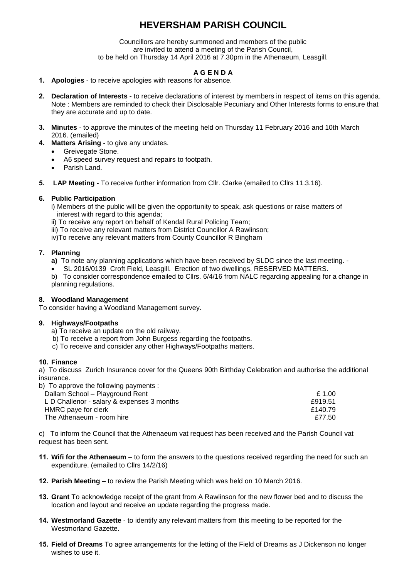# **HEVERSHAM PARISH COUNCIL**

Councillors are hereby summoned and members of the public are invited to attend a meeting of the Parish Council, to be held on Thursday 14 April 2016 at 7.30pm in the Athenaeum, Leasgill.

# **A G E N D A**

- **1. Apologies** to receive apologies with reasons for absence.
- **2. Declaration of Interests -** to receive declarations of interest by members in respect of items on this agenda. Note : Members are reminded to check their Disclosable Pecuniary and Other Interests forms to ensure that they are accurate and up to date.
- **3. Minutes** to approve the minutes of the meeting held on Thursday 11 February 2016 and 10th March 2016. (emailed)
- **4. Matters Arising -** to give any undates.
	- **•** Greivegate Stone.
	- A6 speed survey request and repairs to footpath.
	- Parish Land.
- **5. LAP Meeting** To receive further information from Cllr. Clarke (emailed to Cllrs 11.3.16).

#### **6. Public Participation**

- i) Members of the public will be given the opportunity to speak, ask questions or raise matters of interest with regard to this agenda;
- ii) To receive any report on behalf of Kendal Rural Policing Team;
- iii) To receive any relevant matters from District Councillor A Rawlinson;
- iv)To receive any relevant matters from County Councillor R Bingham

#### **7. Planning**

- **a)** To note any planning applications which have been received by SLDC since the last meeting. -
- SL 2016/0139 Croft Field, Leasgill. Erection of two dwellings. RESERVED MATTERS.

b) To consider correspondence emailed to Cllrs. 6/4/16 from NALC regarding appealing for a change in planning regulations.

#### **8. Woodland Management**

To consider having a Woodland Management survey.

#### **9. Highways/Footpaths**

- a) To receive an update on the old railway.
- b) To receive a report from John Burgess regarding the footpaths.
- c) To receive and consider any other Highways/Footpaths matters.

#### **10. Finance**

a) To discuss Zurich Insurance cover for the Queens 90th Birthday Celebration and authorise the additional insurance. b)To approve the following payments :

| £ 1.00  |
|---------|
| £919.51 |
| £140.79 |
| £77.50  |
|         |

c) To inform the Council that the Athenaeum vat request has been received and the Parish Council vat request has been sent.

- **11. Wifi for the Athenaeum** to form the answers to the questions received regarding the need for such an expenditure. (emailed to Cllrs 14/2/16)
- **12. Parish Meeting**  to review the Parish Meeting which was held on 10 March 2016.
- **13. Grant** To acknowledge receipt of the grant from A Rawlinson for the new flower bed and to discuss the location and layout and receive an update regarding the progress made.
- **14. Westmorland Gazette**  to identify any relevant matters from this meeting to be reported for the Westmorland Gazette.
- **15. Field of Dreams** To agree arrangements for the letting of the Field of Dreams as J Dickenson no longer wishes to use it.